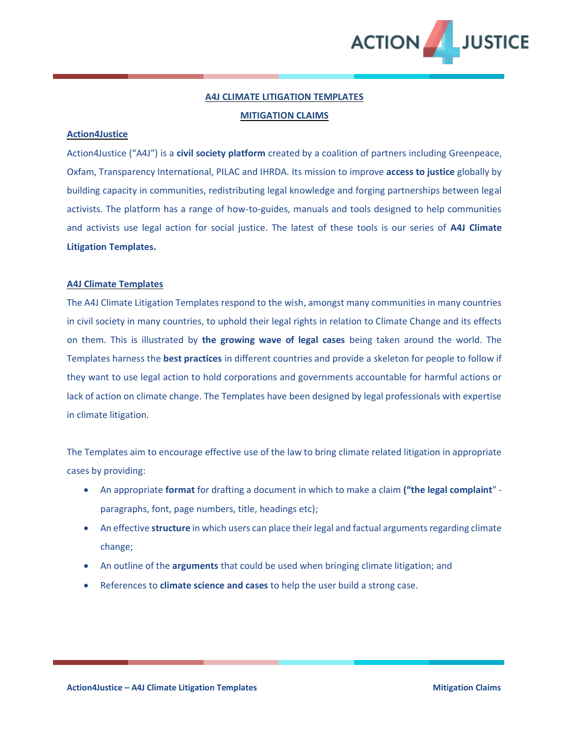

# **A4J CLIMATE LITIGATION TEMPLATES MITIGATION CLAIMS**

#### **Action4Justice**

Action4Justice ("A4J") is a **civil society platform** created by a coalition of partners including Greenpeace, Oxfam, Transparency International, PILAC and IHRDA. Its mission to improve **access to justice** globally by building capacity in communities, redistributing legal knowledge and forging partnerships between legal activists. The platform has a range of how-to-guides, manuals and tools designed to help communities and activists use legal action for social justice. The latest of these tools is our series of **A4J Climate Litigation Templates.** 

#### **A4J Climate Templates**

The A4J Climate Litigation Templates respond to the wish, amongst many communities in many countries in civil society in many countries, to uphold their legal rights in relation to Climate Change and its effects on them. This is illustrated by **the growing wave of legal cases** being taken around the world. The Templates harness the **best practices** in different countries and provide a skeleton for people to follow if they want to use legal action to hold corporations and governments accountable for harmful actions or lack of action on climate change. The Templates have been designed by legal professionals with expertise in climate litigation.

The Templates aim to encourage effective use of the law to bring climate related litigation in appropriate cases by providing:

- An appropriate **format** for drafting a document in which to make a claim **("the legal complaint**" paragraphs, font, page numbers, title, headings etc);
- An effective **structure** in which users can place their legal and factual arguments regarding climate change;
- An outline of the **arguments** that could be used when bringing climate litigation; and
- References to **climate science and cases** to help the user build a strong case.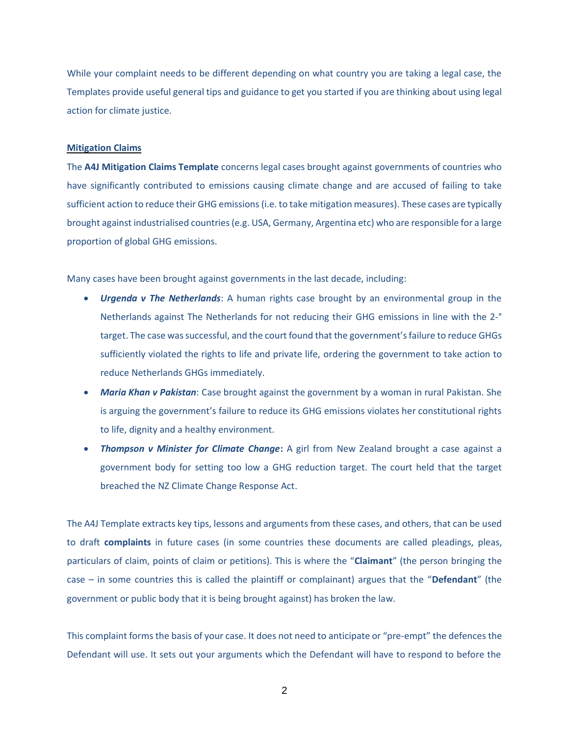While your complaint needs to be different depending on what country you are taking a legal case, the Templates provide useful general tips and guidance to get you started if you are thinking about using legal action for climate justice.

#### **Mitigation Claims**

The **A4J Mitigation Claims Template** concerns legal cases brought against governments of countries who have significantly contributed to emissions causing climate change and are accused of failing to take sufficient action to reduce their GHG emissions (i.e. to take mitigation measures). These cases are typically brought against industrialised countries (e.g. USA, Germany, Argentina etc) who are responsible for a large proportion of global GHG emissions.

Many cases have been brought against governments in the last decade, including:

- *Urgenda v The Netherlands*: A human rights case brought by an environmental group in the Netherlands against The Netherlands for not reducing their GHG emissions in line with the 2-° target. The case was successful, and the court found that the government's failure to reduce GHGs sufficiently violated the rights to life and private life, ordering the government to take action to reduce Netherlands GHGs immediately.
- *Maria Khan v Pakistan*: Case brought against the government by a woman in rural Pakistan. She is arguing the government's failure to reduce its GHG emissions violates her constitutional rights to life, dignity and a healthy environment.
- *Thompson v Minister for Climate Change***:** A girl from New Zealand brought a case against a government body for setting too low a GHG reduction target. The court held that the target breached the NZ Climate Change Response Act.

The A4J Template extracts key tips, lessons and arguments from these cases, and others, that can be used to draft **complaints** in future cases (in some countries these documents are called pleadings, pleas, particulars of claim, points of claim or petitions). This is where the "**Claimant**" (the person bringing the case – in some countries this is called the plaintiff or complainant) argues that the "**Defendant**" (the government or public body that it is being brought against) has broken the law.

This complaint forms the basis of your case. It does not need to anticipate or "pre-empt" the defences the Defendant will use. It sets out your arguments which the Defendant will have to respond to before the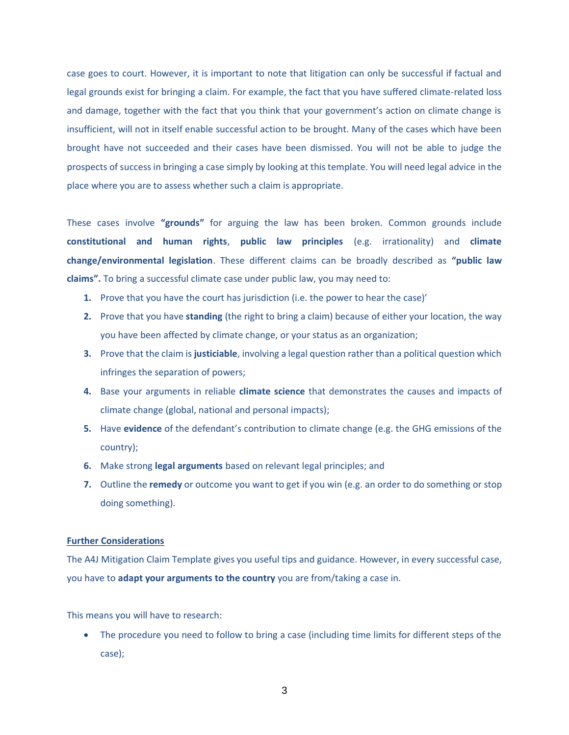case goes to court. However, it is important to note that litigation can only be successful if factual and legal grounds exist for bringing a claim. For example, the fact that you have suffered climate-related loss and damage, together with the fact that you think that your government's action on climate change is insufficient, will not in itself enable successful action to be brought. Many of the cases which have been brought have not succeeded and their cases have been dismissed. You will not be able to judge the prospects of success in bringing a case simply by looking at this template. You will need legal advice in the place where you are to assess whether such a claim is appropriate.

These cases involve **"grounds"** for arguing the law has been broken. Common grounds include **constitutional and human rights**, **public law principles** (e.g. irrationality) and **climate change/environmental legislation**. These different claims can be broadly described as **"public law claims".** To bring a successful climate case under public law, you may need to:

- **1.** Prove that you have the court has jurisdiction (i.e. the power to hear the case)'
- **2.** Prove that you have **standing** (the right to bring a claim) because of either your location, the way you have been affected by climate change, or your status as an organization;
- **3.** Prove that the claim is **justiciable**, involving a legal question rather than a political question which infringes the separation of powers;
- **4.** Base your arguments in reliable **climate science** that demonstrates the causes and impacts of climate change (global, national and personal impacts);
- **5.** Have **evidence** of the defendant's contribution to climate change (e.g. the GHG emissions of the country);
- **6.** Make strong **legal arguments** based on relevant legal principles; and
- **7.** Outline the **remedy** or outcome you want to get if you win (e.g. an order to do something or stop doing something).

#### **Further Considerations**

The A4J Mitigation Claim Template gives you useful tips and guidance. However, in every successful case, you have to **adapt your arguments to the country** you are from/taking a case in.

This means you will have to research:

• The procedure you need to follow to bring a case (including time limits for different steps of the case);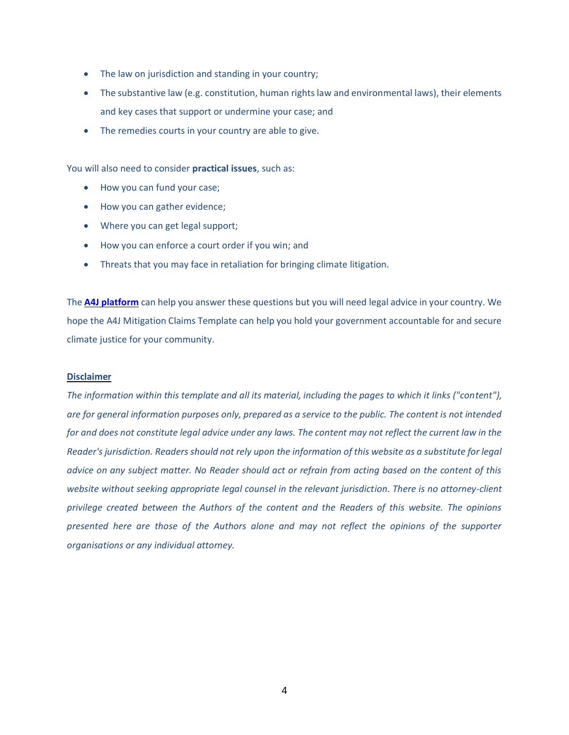- The law on jurisdiction and standing in your country;
- The substantive law (e.g. constitution, human rights law and environmental laws), their elements and key cases that support or undermine your case; and
- The remedies courts in your country are able to give.

You will also need to consider **practical issues**, such as:

- How you can fund your case;
- How you can gather evidence;
- Where you can get legal support;
- How you can enforce a court order if you win; and
- Threats that you may face in retaliation for bringing climate litigation.

The **[A4J platform](https://action4justice.org/)** can help you answer these questions but you will need legal advice in your country. We hope the A4J Mitigation Claims Template can help you hold your government accountable for and secure climate justice for your community.

#### **Disclaimer**

*The information within this template and all its material, including the pages to which it links ("content"), are for general information purposes only, prepared as a service to the public. The content is not intended for and does not constitute legal advice under any laws. The content may not reflect the current law in the Reader's jurisdiction. Readers should not rely upon the information of this website as a substitute for legal advice on any subject matter. No Reader should act or refrain from acting based on the content of this*  website without seeking appropriate legal counsel in the relevant jurisdiction. There is no attorney-client *privilege created between the Authors of the content and the Readers of this website. The opinions presented here are those of the Authors alone and may not reflect the opinions of the supporter organisations or any individual attorney.*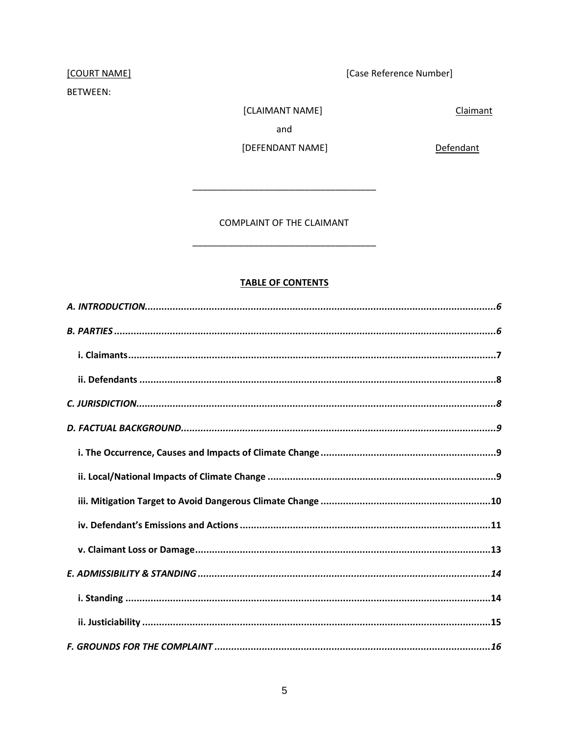# [COURT NAME]

# BETWEEN:

[Case Reference Number]

Claimant

[CLAIMANT NAME] and

[DEFENDANT NAME]

Defendant

COMPLAINT OF THE CLAIMANT

# **TABLE OF CONTENTS**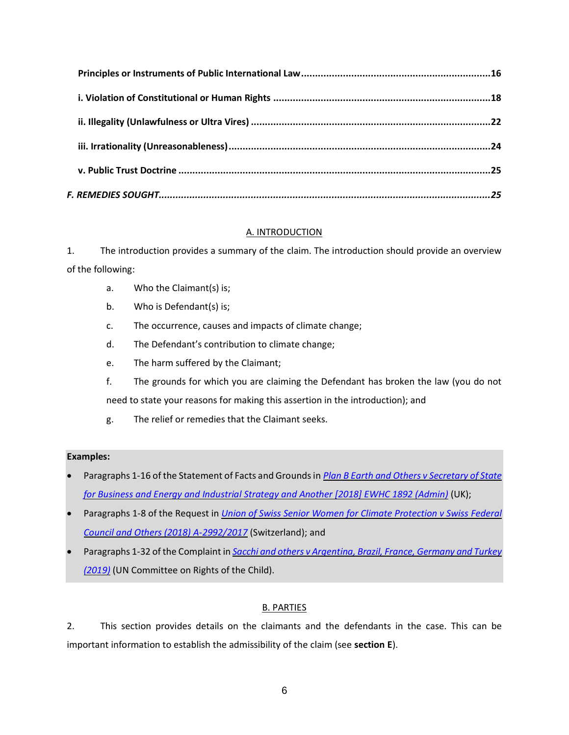# A. INTRODUCTION

<span id="page-5-0"></span>1. The introduction provides a summary of the claim. The introduction should provide an overview of the following:

- a. Who the Claimant(s) is;
- b. Who is Defendant(s) is;
- c. The occurrence, causes and impacts of climate change;
- d. The Defendant's contribution to climate change;
- e. The harm suffered by the Claimant;
- f. The grounds for which you are claiming the Defendant has broken the law (you do not need to state your reasons for making this assertion in the introduction); and
- g. The relief or remedies that the Claimant seeks.

# **Examples:**

- Paragraphs 1-16 of the Statement of Facts and Grounds in *[Plan B Earth and Others v Secretary of State](http://blogs2.law.columbia.edu/climate-change-litigation/wp-content/uploads/sites/16/non-us-case-documents/2017/20171207_Claim-No.-CO162018_points-of-claim.pdf)  [for Business and Energy and Industrial Strategy and Another \[2018\] EWHC 1892 \(Admin\)](http://blogs2.law.columbia.edu/climate-change-litigation/wp-content/uploads/sites/16/non-us-case-documents/2017/20171207_Claim-No.-CO162018_points-of-claim.pdf)* (UK);
- Paragraphs 1-8 of the Request in *[Union of Swiss Senior Women for Climate Protection v Swiss Federal](https://klimaseniorinnen.ch/wp-content/uploads/2017/05/request_KlimaSeniorinnen.pdf)  [Council and Others \(2018\) A-2992/2017](https://klimaseniorinnen.ch/wp-content/uploads/2017/05/request_KlimaSeniorinnen.pdf)* (Switzerland); and
- Paragraphs 1-32 of the Complaint in *[Sacchi and others v Argentina, Brazil, France, Germany and Turkey](https://childrenvsclimatecrisis.org/wp-content/uploads/2019/09/2019.09.23-CRC-communication-Sacchi-et-al-v.-Argentina-et-al-2.pdf)  [\(2019\)](https://childrenvsclimatecrisis.org/wp-content/uploads/2019/09/2019.09.23-CRC-communication-Sacchi-et-al-v.-Argentina-et-al-2.pdf)* (UN Committee on Rights of the Child).

# B. PARTIES

<span id="page-5-1"></span>2. This section provides details on the claimants and the defendants in the case. This can be important information to establish the admissibility of the claim (see **section E**).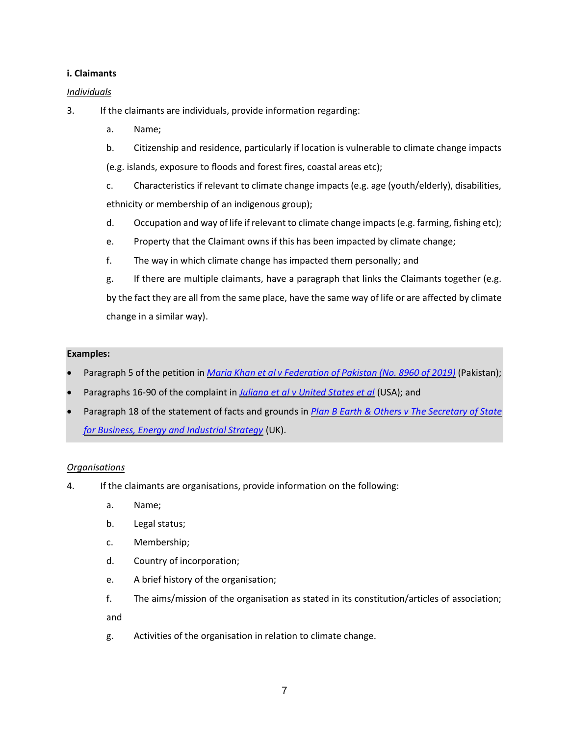### <span id="page-6-0"></span>**i. Claimants**

### *Individuals*

3. If the claimants are individuals, provide information regarding:

- a. Name;
- b. Citizenship and residence, particularly if location is vulnerable to climate change impacts (e.g. islands, exposure to floods and forest fires, coastal areas etc);
- c. Characteristics if relevant to climate change impacts (e.g. age (youth/elderly), disabilities, ethnicity or membership of an indigenous group);
- d. Occupation and way of life if relevant to climate change impacts (e.g. farming, fishing etc);
- e. Property that the Claimant owns if this has been impacted by climate change;
- f. The way in which climate change has impacted them personally; and
- g. If there are multiple claimants, have a paragraph that links the Claimants together (e.g. by the fact they are all from the same place, have the same way of life or are affected by climate change in a similar way).

#### **Examples:**

- Paragraph 5 of the petition in *[Maria Khan et al v Federation of Pakistan \(No. 8960 of 2019\)](http://blogs2.law.columbia.edu/climate-change-litigation/wp-content/uploads/sites/16/non-us-case-documents/2019/20190214_No.-8960-of-2019_application.pdf)* (Pakistan);
- Paragraphs 16-90 of the complaint in *[Juliana et al v United States et al](https://static1.squarespace.com/static/571d109b04426270152febe0/t/57a35ac5ebbd1ac03847eece/1470323398409/YouthAmendedComplaintAgainstUS.pdf)* (USA); and
- Paragraph 18 of the statement of facts and grounds in *[Plan B Earth & Others v The Secretary of State](http://blogs2.law.columbia.edu/climate-change-litigation/wp-content/uploads/sites/16/non-us-case-documents/2017/20171207_Claim-No.-CO162018_points-of-claim.pdf)  [for Business, Energy and Industrial Strategy](http://blogs2.law.columbia.edu/climate-change-litigation/wp-content/uploads/sites/16/non-us-case-documents/2017/20171207_Claim-No.-CO162018_points-of-claim.pdf)* (UK).

#### *Organisations*

- 4. If the claimants are organisations, provide information on the following:
	- a. Name;
	- b. Legal status;
	- c. Membership;
	- d. Country of incorporation;
	- e. A brief history of the organisation;
	- f. The aims/mission of the organisation as stated in its constitution/articles of association; and
	- g. Activities of the organisation in relation to climate change.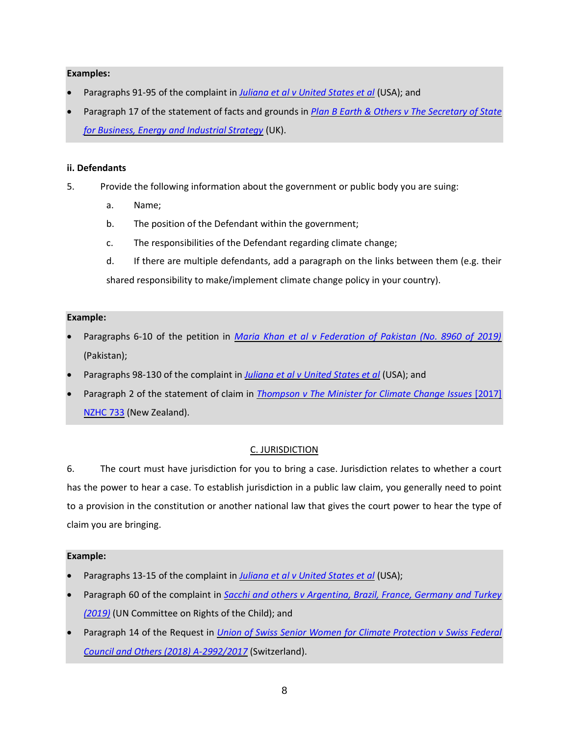### **Examples:**

- Paragraphs 91-95 of the complaint in *[Juliana et al v United States et al](https://static1.squarespace.com/static/571d109b04426270152febe0/t/57a35ac5ebbd1ac03847eece/1470323398409/YouthAmendedComplaintAgainstUS.pdf)* (USA); and
- Paragraph 17 of the statement of facts and grounds in *[Plan B Earth & Others v The Secretary of State](http://blogs2.law.columbia.edu/climate-change-litigation/wp-content/uploads/sites/16/non-us-case-documents/2017/20171207_Claim-No.-CO162018_points-of-claim.pdf)  [for Business, Energy and Industrial Strategy](http://blogs2.law.columbia.edu/climate-change-litigation/wp-content/uploads/sites/16/non-us-case-documents/2017/20171207_Claim-No.-CO162018_points-of-claim.pdf)* (UK).

### <span id="page-7-0"></span>**ii. Defendants**

- 5. Provide the following information about the government or public body you are suing:
	- a. Name;
	- b. The position of the Defendant within the government;
	- c. The responsibilities of the Defendant regarding climate change;
	- d. If there are multiple defendants, add a paragraph on the links between them (e.g. their shared responsibility to make/implement climate change policy in your country).

### **Example:**

- Paragraphs 6-10 of the petition in *[Maria Khan et al v Federation of Pakistan \(No. 8960 of 2019\)](http://blogs2.law.columbia.edu/climate-change-litigation/wp-content/uploads/sites/16/non-us-case-documents/2019/20190214_No.-8960-of-2019_application.pdf)* (Pakistan);
- Paragraphs 98-130 of the complaint in *[Juliana et al v United States et al](https://static1.squarespace.com/static/571d109b04426270152febe0/t/57a35ac5ebbd1ac03847eece/1470323398409/YouthAmendedComplaintAgainstUS.pdf)* (USA); and
- Paragraph 2 of the statement of claim in *[Thompson v The Minister for Climate Change Issues](http://blogs2.law.columbia.edu/climate-change-litigation/wp-content/uploads/sites/16/non-us-case-documents/2015/20151110_2017-NZHC-733_complaint-1.pdf)* [2017] [NZHC 733](http://blogs2.law.columbia.edu/climate-change-litigation/wp-content/uploads/sites/16/non-us-case-documents/2015/20151110_2017-NZHC-733_complaint-1.pdf) (New Zealand).

# C. JURISDICTION

<span id="page-7-1"></span>6. The court must have jurisdiction for you to bring a case. Jurisdiction relates to whether a court has the power to hear a case. To establish jurisdiction in a public law claim, you generally need to point to a provision in the constitution or another national law that gives the court power to hear the type of claim you are bringing.

- Paragraphs 13-15 of the complaint in *[Juliana et al v United States et al](https://static1.squarespace.com/static/571d109b04426270152febe0/t/57a35ac5ebbd1ac03847eece/1470323398409/YouthAmendedComplaintAgainstUS.pdf)* (USA);
- Paragraph 60 of the complaint in *[Sacchi and others v Argentina, Brazil, France, Germany and Turkey](https://childrenvsclimatecrisis.org/wp-content/uploads/2019/09/2019.09.23-CRC-communication-Sacchi-et-al-v.-Argentina-et-al-2.pdf)  [\(2019\)](https://childrenvsclimatecrisis.org/wp-content/uploads/2019/09/2019.09.23-CRC-communication-Sacchi-et-al-v.-Argentina-et-al-2.pdf)* (UN Committee on Rights of the Child); and
- Paragraph 14 of the Request in *[Union of Swiss Senior Women for Climate Protection v Swiss Federal](https://klimaseniorinnen.ch/wp-content/uploads/2017/05/request_KlimaSeniorinnen.pdf)  [Council and Others \(2018\) A-2992/2017](https://klimaseniorinnen.ch/wp-content/uploads/2017/05/request_KlimaSeniorinnen.pdf)* (Switzerland).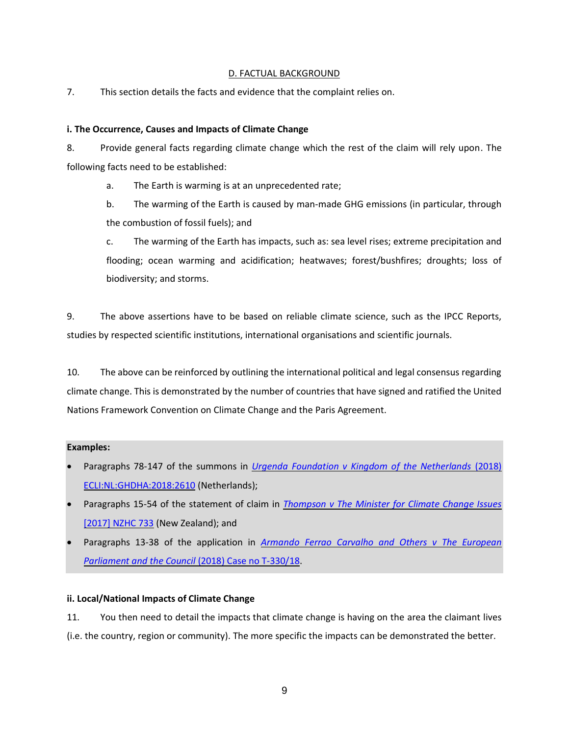### D. FACTUAL BACKGROUND

<span id="page-8-0"></span>7. This section details the facts and evidence that the complaint relies on.

### <span id="page-8-1"></span>**i. The Occurrence, Causes and Impacts of Climate Change**

8. Provide general facts regarding climate change which the rest of the claim will rely upon. The following facts need to be established:

a. The Earth is warming is at an unprecedented rate;

b. The warming of the Earth is caused by man-made GHG emissions (in particular, through the combustion of fossil fuels); and

c. The warming of the Earth has impacts, such as: sea level rises; extreme precipitation and flooding; ocean warming and acidification; heatwaves; forest/bushfires; droughts; loss of biodiversity; and storms.

9. The above assertions have to be based on reliable climate science, such as the IPCC Reports, studies by respected scientific institutions, international organisations and scientific journals.

10. The above can be reinforced by outlining the international political and legal consensus regarding climate change. This is demonstrated by the number of countries that have signed and ratified the United Nations Framework Convention on Climate Change and the Paris Agreement.

# **Examples:**

- Paragraphs 78-147 of the summons in *[Urgenda Foundation v Kingdom of the Netherlands](https://www.urgenda.nl/documents/FINAL-DRAFT-Translation-Summons-in-case-Urgenda-v-Dutch-State-v.25.06.10.pdf)* (2018) [ECLI:NL:GHDHA:2018:2610](https://www.urgenda.nl/documents/FINAL-DRAFT-Translation-Summons-in-case-Urgenda-v-Dutch-State-v.25.06.10.pdf) (Netherlands);
- Paragraphs 15-54 of the statement of claim in *[Thompson v The Minister for Climate Change Issues](http://blogs2.law.columbia.edu/climate-change-litigation/wp-content/uploads/sites/16/non-us-case-documents/2015/20151110_2017-NZHC-733_complaint-1.pdf)*  [\[2017\] NZHC 733](http://blogs2.law.columbia.edu/climate-change-litigation/wp-content/uploads/sites/16/non-us-case-documents/2015/20151110_2017-NZHC-733_complaint-1.pdf) (New Zealand); and
- Paragraphs 13-38 of the application in *[Armando Ferrao Carvalho and Others v The European](http://blogs2.law.columbia.edu/climate-change-litigation/wp-content/uploads/sites/16/non-us-case-documents/2018/20180524_Case-no.-T-33018_application-1.pdf)  [Parliament and the Council](http://blogs2.law.columbia.edu/climate-change-litigation/wp-content/uploads/sites/16/non-us-case-documents/2018/20180524_Case-no.-T-33018_application-1.pdf)* (2018) Case no T-330/18.

# <span id="page-8-2"></span>**ii. Local/National Impacts of Climate Change**

11. You then need to detail the impacts that climate change is having on the area the claimant lives (i.e. the country, region or community). The more specific the impacts can be demonstrated the better.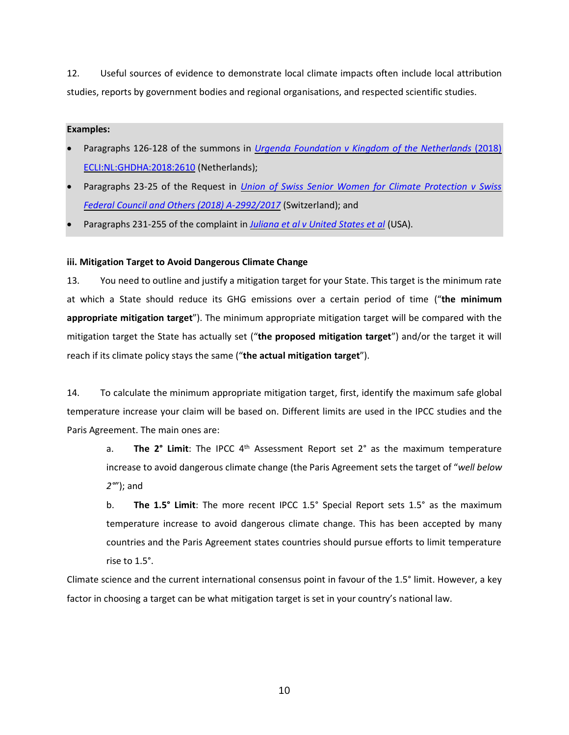12. Useful sources of evidence to demonstrate local climate impacts often include local attribution studies, reports by government bodies and regional organisations, and respected scientific studies.

### **Examples:**

- Paragraphs 126-128 of the summons in *[Urgenda Foundation v Kingdom of the Netherlands](https://www.urgenda.nl/documents/FINAL-DRAFT-Translation-Summons-in-case-Urgenda-v-Dutch-State-v.25.06.10.pdf)* (2018) [ECLI:NL:GHDHA:2018:2610](https://www.urgenda.nl/documents/FINAL-DRAFT-Translation-Summons-in-case-Urgenda-v-Dutch-State-v.25.06.10.pdf) (Netherlands);
- Paragraphs 23-25 of the Request in *[Union of Swiss Senior Women for Climate Protection v Swiss](https://klimaseniorinnen.ch/wp-content/uploads/2017/05/request_KlimaSeniorinnen.pdf)  [Federal Council and Others \(2018\) A-2992/2017](https://klimaseniorinnen.ch/wp-content/uploads/2017/05/request_KlimaSeniorinnen.pdf)* (Switzerland); and
- Paragraphs 231-255 of the complaint in *[Juliana et al v United States et al](https://static1.squarespace.com/static/571d109b04426270152febe0/t/57a35ac5ebbd1ac03847eece/1470323398409/YouthAmendedComplaintAgainstUS.pdf)* (USA).

# <span id="page-9-0"></span>**iii. Mitigation Target to Avoid Dangerous Climate Change**

13. You need to outline and justify a mitigation target for your State. This target is the minimum rate at which a State should reduce its GHG emissions over a certain period of time ("**the minimum appropriate mitigation target**"). The minimum appropriate mitigation target will be compared with the mitigation target the State has actually set ("**the proposed mitigation target**") and/or the target it will reach if its climate policy stays the same ("**the actual mitigation target**").

14. To calculate the minimum appropriate mitigation target, first, identify the maximum safe global temperature increase your claim will be based on. Different limits are used in the IPCC studies and the Paris Agreement. The main ones are:

a. **The 2° Limit**: The IPCC 4<sup>th</sup> Assessment Report set 2° as the maximum temperature increase to avoid dangerous climate change (the Paris Agreement sets the target of "*well below 2°*"); and

b. **The 1.5° Limit**: The more recent IPCC 1.5° Special Report sets 1.5° as the maximum temperature increase to avoid dangerous climate change. This has been accepted by many countries and the Paris Agreement states countries should pursue efforts to limit temperature rise to 1.5°.

Climate science and the current international consensus point in favour of the 1.5° limit. However, a key factor in choosing a target can be what mitigation target is set in your country's national law.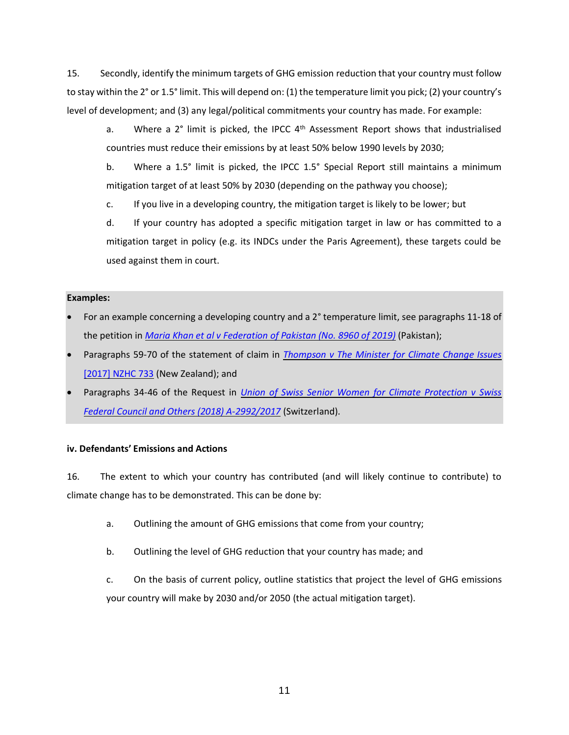15. Secondly, identify the minimum targets of GHG emission reduction that your country must follow to stay within the 2° or 1.5° limit. This will depend on: (1) the temperature limit you pick; (2) your country's level of development; and (3) any legal/political commitments your country has made. For example:

a. Where a 2° limit is picked, the IPCC 4<sup>th</sup> Assessment Report shows that industrialised countries must reduce their emissions by at least 50% below 1990 levels by 2030;

b. Where a 1.5° limit is picked, the IPCC 1.5° Special Report still maintains a minimum mitigation target of at least 50% by 2030 (depending on the pathway you choose);

c. If you live in a developing country, the mitigation target is likely to be lower; but

d. If your country has adopted a specific mitigation target in law or has committed to a mitigation target in policy (e.g. its INDCs under the Paris Agreement), these targets could be used against them in court.

### **Examples:**

- For an example concerning a developing country and a 2° temperature limit, see paragraphs 11-18 of the petition in *[Maria Khan et al v Federation of Pakistan \(No. 8960 of 2019\)](http://blogs2.law.columbia.edu/climate-change-litigation/wp-content/uploads/sites/16/non-us-case-documents/2019/20190214_No.-8960-of-2019_application.pdf)* (Pakistan);
- Paragraphs 59-70 of the statement of claim in *Thompson v The [Minister for Climate Change Issues](http://blogs2.law.columbia.edu/climate-change-litigation/wp-content/uploads/sites/16/non-us-case-documents/2015/20151110_2017-NZHC-733_complaint-1.pdf)*  [\[2017\] NZHC 733](http://blogs2.law.columbia.edu/climate-change-litigation/wp-content/uploads/sites/16/non-us-case-documents/2015/20151110_2017-NZHC-733_complaint-1.pdf) (New Zealand); and
- Paragraphs 34-46 of the Request in *[Union of Swiss Senior Women for Climate Protection v Swiss](https://klimaseniorinnen.ch/wp-content/uploads/2017/05/request_KlimaSeniorinnen.pdf)  [Federal Council and Others \(2018\) A-2992/2017](https://klimaseniorinnen.ch/wp-content/uploads/2017/05/request_KlimaSeniorinnen.pdf)* (Switzerland).

# <span id="page-10-0"></span>**iv. Defendants' Emissions and Actions**

16. The extent to which your country has contributed (and will likely continue to contribute) to climate change has to be demonstrated. This can be done by:

- a. Outlining the amount of GHG emissions that come from your country;
- b. Outlining the level of GHG reduction that your country has made; and

c. On the basis of current policy, outline statistics that project the level of GHG emissions your country will make by 2030 and/or 2050 (the actual mitigation target).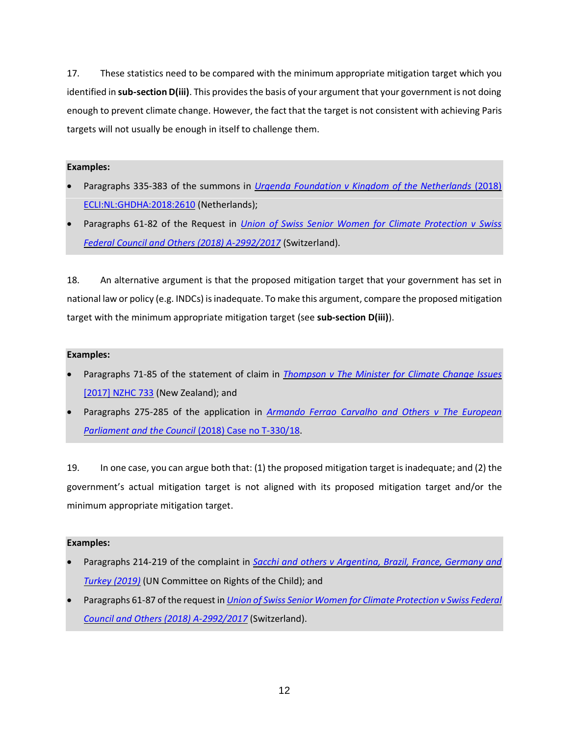17. These statistics need to be compared with the minimum appropriate mitigation target which you identified in **sub-section D(iii)**. This provides the basis of your argument that your government is not doing enough to prevent climate change. However, the fact that the target is not consistent with achieving Paris targets will not usually be enough in itself to challenge them.

# **Examples:**

- Paragraphs 335-383 of the summons in *[Urgenda Foundation v Kingdom of the Netherlands](https://www.urgenda.nl/documents/FINAL-DRAFT-Translation-Summons-in-case-Urgenda-v-Dutch-State-v.25.06.10.pdf)* (2018) [ECLI:NL:GHDHA:2018:2610](https://www.urgenda.nl/documents/FINAL-DRAFT-Translation-Summons-in-case-Urgenda-v-Dutch-State-v.25.06.10.pdf) (Netherlands);
- Paragraphs 61-82 of the Request in *[Union of Swiss Senior Women for Climate Protection v Swiss](https://klimaseniorinnen.ch/wp-content/uploads/2017/05/request_KlimaSeniorinnen.pdf)  [Federal Council and Others \(2018\) A-2992/2017](https://klimaseniorinnen.ch/wp-content/uploads/2017/05/request_KlimaSeniorinnen.pdf)* (Switzerland).

18. An alternative argument is that the proposed mitigation target that your government has set in national law or policy (e.g. INDCs) is inadequate. To make this argument, compare the proposed mitigation target with the minimum appropriate mitigation target (see **sub-section D(iii)**).

# **Examples:**

- Paragraphs 71-85 of the statement of claim in *[Thompson v The Minister for Climate Change](http://blogs2.law.columbia.edu/climate-change-litigation/wp-content/uploads/sites/16/non-us-case-documents/2015/20151110_2017-NZHC-733_complaint-1.pdf) Issues*  [\[2017\] NZHC 733](http://blogs2.law.columbia.edu/climate-change-litigation/wp-content/uploads/sites/16/non-us-case-documents/2015/20151110_2017-NZHC-733_complaint-1.pdf) (New Zealand); and
- Paragraphs 275-285 of the application in *[Armando Ferrao Carvalho and Others v The European](http://blogs2.law.columbia.edu/climate-change-litigation/wp-content/uploads/sites/16/non-us-case-documents/2018/20180524_Case-no.-T-33018_application-1.pdf)  [Parliament and the Council](http://blogs2.law.columbia.edu/climate-change-litigation/wp-content/uploads/sites/16/non-us-case-documents/2018/20180524_Case-no.-T-33018_application-1.pdf)* (2018) Case no T-330/18.

19. In one case, you can argue both that: (1) the proposed mitigation target is inadequate; and (2) the government's actual mitigation target is not aligned with its proposed mitigation target and/or the minimum appropriate mitigation target.

- Paragraphs 214-219 of the complaint in *[Sacchi and others v Argentina, Brazil, France, Germany and](https://childrenvsclimatecrisis.org/wp-content/uploads/2019/09/2019.09.23-CRC-communication-Sacchi-et-al-v.-Argentina-et-al-2.pdf)  [Turkey \(2019\)](https://childrenvsclimatecrisis.org/wp-content/uploads/2019/09/2019.09.23-CRC-communication-Sacchi-et-al-v.-Argentina-et-al-2.pdf)* (UN Committee on Rights of the Child); and
- Paragraphs 61-87 of the request in *[Union of Swiss Senior Women for Climate Protection v Swiss Federal](https://klimaseniorinnen.ch/wp-content/uploads/2017/05/request_KlimaSeniorinnen.pdf)  [Council and Others \(2018\) A-2992/2017](https://klimaseniorinnen.ch/wp-content/uploads/2017/05/request_KlimaSeniorinnen.pdf)* (Switzerland).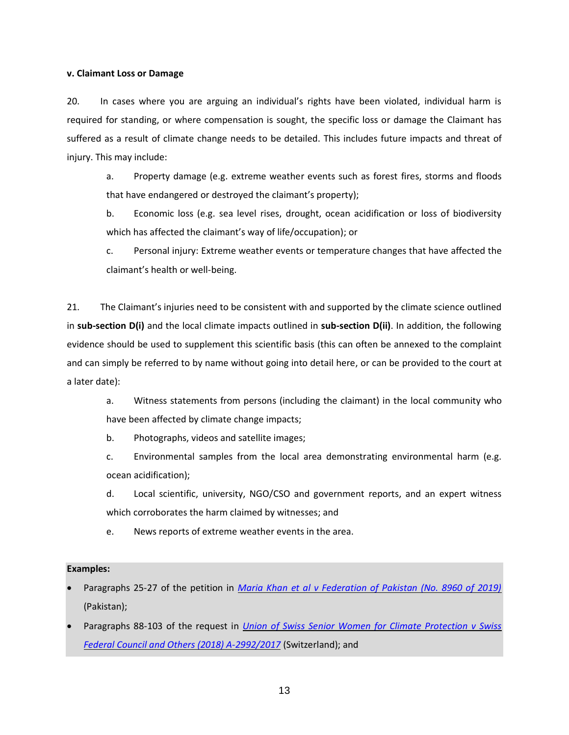#### <span id="page-12-0"></span>**v. Claimant Loss or Damage**

20. In cases where you are arguing an individual's rights have been violated, individual harm is required for standing, or where compensation is sought, the specific loss or damage the Claimant has suffered as a result of climate change needs to be detailed. This includes future impacts and threat of injury. This may include:

a. Property damage (e.g. extreme weather events such as forest fires, storms and floods that have endangered or destroyed the claimant's property);

b. Economic loss (e.g. sea level rises, drought, ocean acidification or loss of biodiversity which has affected the claimant's way of life/occupation); or

c. Personal injury: Extreme weather events or temperature changes that have affected the claimant's health or well-being.

21. The Claimant's injuries need to be consistent with and supported by the climate science outlined in **sub-section D(i)** and the local climate impacts outlined in **sub-section D(ii)**. In addition, the following evidence should be used to supplement this scientific basis (this can often be annexed to the complaint and can simply be referred to by name without going into detail here, or can be provided to the court at a later date):

a. Witness statements from persons (including the claimant) in the local community who have been affected by climate change impacts;

b. Photographs, videos and satellite images;

c. Environmental samples from the local area demonstrating environmental harm (e.g. ocean acidification);

d. Local scientific, university, NGO/CSO and government reports, and an expert witness which corroborates the harm claimed by witnesses; and

e. News reports of extreme weather events in the area.

- Paragraphs 25-27 of the petition in *[Maria Khan et al v Federation of Pakistan \(No. 8960 of 2019\)](http://blogs2.law.columbia.edu/climate-change-litigation/wp-content/uploads/sites/16/non-us-case-documents/2019/20190214_No.-8960-of-2019_application.pdf)* (Pakistan);
- Paragraphs 88-103 of the request in *[Union of Swiss Senior Women for Climate Protection v Swiss](https://klimaseniorinnen.ch/wp-content/uploads/2017/05/request_KlimaSeniorinnen.pdf)  [Federal Council and Others \(2018\) A-2992/2017](https://klimaseniorinnen.ch/wp-content/uploads/2017/05/request_KlimaSeniorinnen.pdf)* (Switzerland); and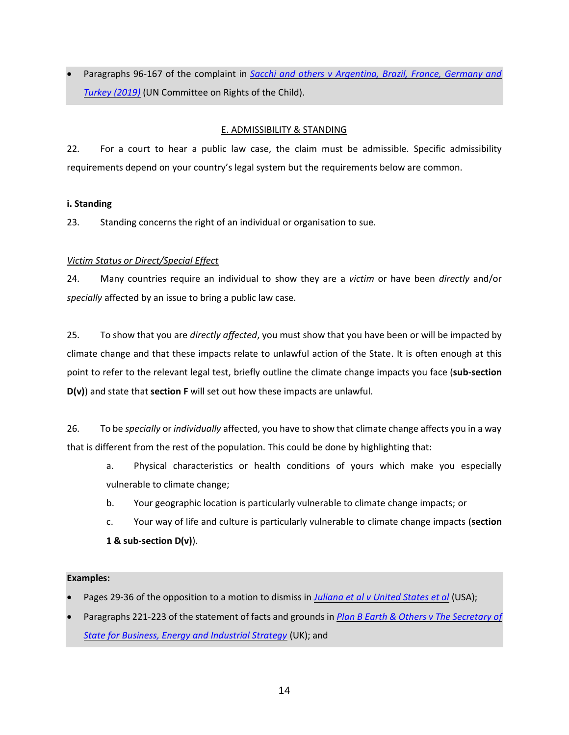• Paragraphs 96-167 of the complaint in *[Sacchi and others v Argentina, Brazil, France, Germany and](https://childrenvsclimatecrisis.org/wp-content/uploads/2019/09/2019.09.23-CRC-communication-Sacchi-et-al-v.-Argentina-et-al-2.pdf)  [Turkey \(2019\)](https://childrenvsclimatecrisis.org/wp-content/uploads/2019/09/2019.09.23-CRC-communication-Sacchi-et-al-v.-Argentina-et-al-2.pdf)* (UN Committee on Rights of the Child).

# E. ADMISSIBILITY & STANDING

<span id="page-13-0"></span>22. For a court to hear a public law case, the claim must be admissible. Specific admissibility requirements depend on your country's legal system but the requirements below are common.

# <span id="page-13-1"></span>**i. Standing**

23. Standing concerns the right of an individual or organisation to sue.

# *Victim Status or Direct/Special Effect*

24. Many countries require an individual to show they are a *victim* or have been *directly* and/or *specially* affected by an issue to bring a public law case.

25. To show that you are *directly affected*, you must show that you have been or will be impacted by climate change and that these impacts relate to unlawful action of the State. It is often enough at this point to refer to the relevant legal test, briefly outline the climate change impacts you face (**sub-section D(v)**) and state that **section F** will set out how these impacts are unlawful.

26. To be *specially* or *individually* affected, you have to show that climate change affects you in a way that is different from the rest of the population. This could be done by highlighting that:

- a. Physical characteristics or health conditions of yours which make you especially vulnerable to climate change;
- b. Your geographic location is particularly vulnerable to climate change impacts; or
- c. Your way of life and culture is particularly vulnerable to climate change impacts (**section 1 & sub-section D(v)**).

- Pages 29-36 of the opposition to a motion to dismiss in *[Juliana et al v United States et al](https://static1.squarespace.com/static/571d109b04426270152febe0/t/576195cf2fe1316f09d2f043/1466013138620/16.01.06.YouthOppToFedMTD.pdf)* (USA);
- Paragraphs 221-223 of the statement of facts and grounds in *[Plan B Earth & Others v The Secretary of](http://blogs2.law.columbia.edu/climate-change-litigation/wp-content/uploads/sites/16/non-us-case-documents/2017/20171207_Claim-No.-CO162018_points-of-claim.pdf)  [State for Business, Energy and Industrial Strategy](http://blogs2.law.columbia.edu/climate-change-litigation/wp-content/uploads/sites/16/non-us-case-documents/2017/20171207_Claim-No.-CO162018_points-of-claim.pdf)* (UK); and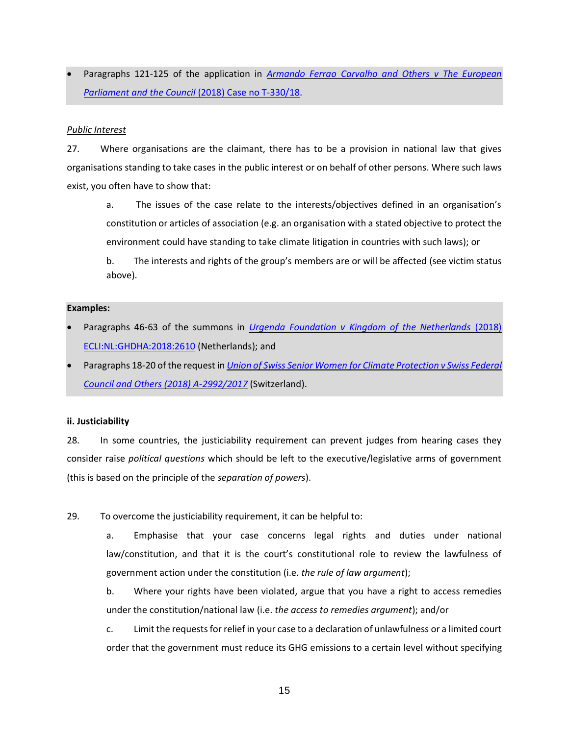• Paragraphs 121-125 of the application in *[Armando Ferrao Carvalho and Others v The European](http://blogs2.law.columbia.edu/climate-change-litigation/wp-content/uploads/sites/16/non-us-case-documents/2018/20180524_Case-no.-T-33018_application-1.pdf)  [Parliament and the Council](http://blogs2.law.columbia.edu/climate-change-litigation/wp-content/uploads/sites/16/non-us-case-documents/2018/20180524_Case-no.-T-33018_application-1.pdf)* (2018) Case no T-330/18.

### *Public Interest*

27. Where organisations are the claimant, there has to be a provision in national law that gives organisations standing to take cases in the public interest or on behalf of other persons. Where such laws exist, you often have to show that:

a. The issues of the case relate to the interests/objectives defined in an organisation's constitution or articles of association (e.g. an organisation with a stated objective to protect the environment could have standing to take climate litigation in countries with such laws); or

b. The interests and rights of the group's members are or will be affected (see victim status above).

#### **Examples:**

- Paragraphs 46-63 of the summons in *[Urgenda Foundation v Kingdom of the Netherlands](https://www.urgenda.nl/documents/FINAL-DRAFT-Translation-Summons-in-case-Urgenda-v-Dutch-State-v.25.06.10.pdf)* (2018) [ECLI:NL:GHDHA:2018:2610](https://www.urgenda.nl/documents/FINAL-DRAFT-Translation-Summons-in-case-Urgenda-v-Dutch-State-v.25.06.10.pdf) (Netherlands); and
- Paragraphs 18-20 of the request in *[Union of Swiss Senior Women for Climate Protection v Swiss Federal](https://klimaseniorinnen.ch/wp-content/uploads/2017/05/request_KlimaSeniorinnen.pdf)  [Council and Others \(2018\) A-2992/2017](https://klimaseniorinnen.ch/wp-content/uploads/2017/05/request_KlimaSeniorinnen.pdf)* (Switzerland).

# <span id="page-14-0"></span>**ii. Justiciability**

28. In some countries, the justiciability requirement can prevent judges from hearing cases they consider raise *political questions* which should be left to the executive/legislative arms of government (this is based on the principle of the *separation of powers*).

29. To overcome the justiciability requirement, it can be helpful to:

a. Emphasise that your case concerns legal rights and duties under national law/constitution, and that it is the court's constitutional role to review the lawfulness of government action under the constitution (i.e. *the rule of law argument*);

b. Where your rights have been violated, argue that you have a right to access remedies under the constitution/national law (i.e. *the access to remedies argument*); and/or

c. Limit the requests for relief in your case to a declaration of unlawfulness or a limited court order that the government must reduce its GHG emissions to a certain level without specifying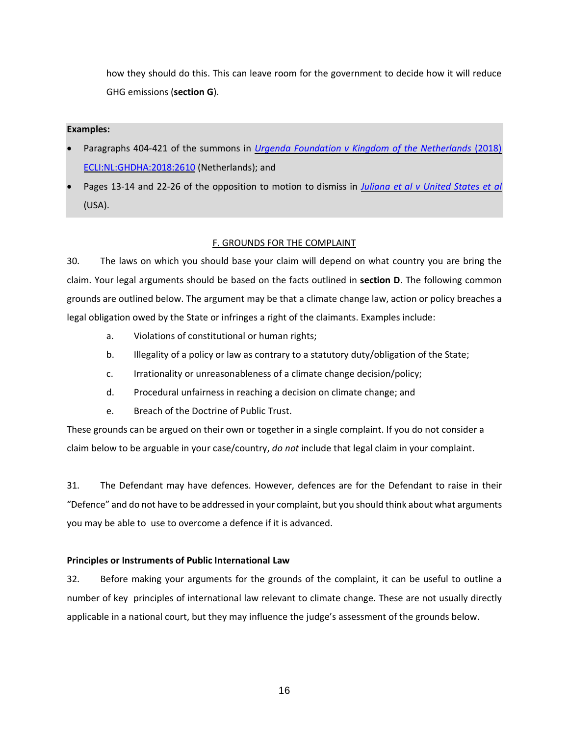how they should do this. This can leave room for the government to decide how it will reduce GHG emissions (**section G**).

### **Examples:**

- Paragraphs 404-421 of the summons in *[Urgenda Foundation v Kingdom of the Netherlands](https://www.urgenda.nl/documents/FINAL-DRAFT-Translation-Summons-in-case-Urgenda-v-Dutch-State-v.25.06.10.pdf)* (2018) [ECLI:NL:GHDHA:2018:2610](https://www.urgenda.nl/documents/FINAL-DRAFT-Translation-Summons-in-case-Urgenda-v-Dutch-State-v.25.06.10.pdf) (Netherlands); and
- Pages 13-14 and 22-26 of the opposition to motion to dismiss in *[Juliana et al v United States et al](https://static1.squarespace.com/static/571d109b04426270152febe0/t/576195f02fe1316f09d2f16e/1466013170857/16.02.02.YouthOppToIntervenorMTD_0.pdf)* (USA).

# F. GROUNDS FOR THE COMPLAINT

<span id="page-15-0"></span>30. The laws on which you should base your claim will depend on what country you are bring the claim. Your legal arguments should be based on the facts outlined in **section D**. The following common grounds are outlined below. The argument may be that a climate change law, action or policy breaches a legal obligation owed by the State or infringes a right of the claimants. Examples include:

- a. Violations of constitutional or human rights;
- b. Illegality of a policy or law as contrary to a statutory duty/obligation of the State;
- c. Irrationality or unreasonableness of a climate change decision/policy;
- d. Procedural unfairness in reaching a decision on climate change; and
- e. Breach of the Doctrine of Public Trust.

These grounds can be argued on their own or together in a single complaint. If you do not consider a claim below to be arguable in your case/country, *do not* include that legal claim in your complaint.

31. The Defendant may have defences. However, defences are for the Defendant to raise in their "Defence" and do not have to be addressed in your complaint, but you should think about what arguments you may be able to use to overcome a defence if it is advanced.

# <span id="page-15-1"></span>**Principles or Instruments of Public International Law**

32. Before making your arguments for the grounds of the complaint, it can be useful to outline a number of key principles of international law relevant to climate change. These are not usually directly applicable in a national court, but they may influence the judge's assessment of the grounds below.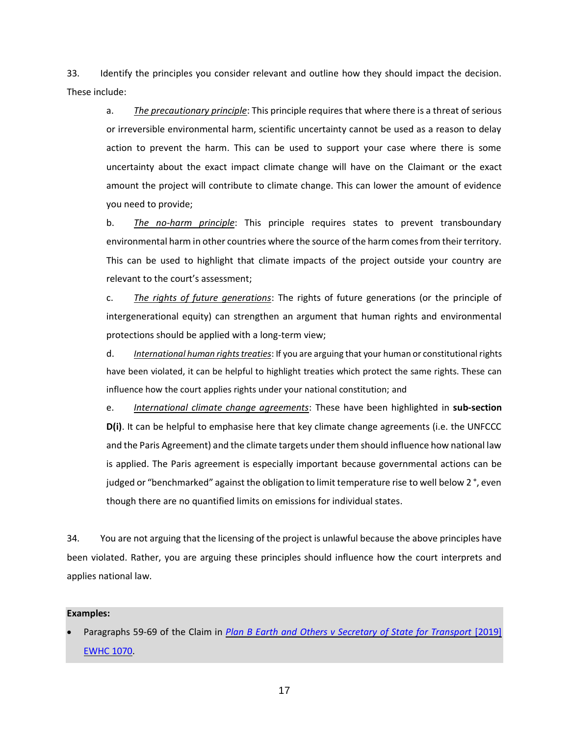33. Identify the principles you consider relevant and outline how they should impact the decision. These include:

a. *The precautionary principle*: This principle requires that where there is a threat of serious or irreversible environmental harm, scientific uncertainty cannot be used as a reason to delay action to prevent the harm. This can be used to support your case where there is some uncertainty about the exact impact climate change will have on the Claimant or the exact amount the project will contribute to climate change. This can lower the amount of evidence you need to provide;

b. *The no-harm principle*: This principle requires states to prevent transboundary environmental harm in other countries where the source of the harm comes from their territory. This can be used to highlight that climate impacts of the project outside your country are relevant to the court's assessment;

c. *The rights of future generations*: The rights of future generations (or the principle of intergenerational equity) can strengthen an argument that human rights and environmental protections should be applied with a long-term view;

d. *International human rights treaties*: If you are arguing that your human or constitutional rights have been violated, it can be helpful to highlight treaties which protect the same rights. These can influence how the court applies rights under your national constitution; and

e. *International climate change agreements*: These have been highlighted in **sub-section D(i)**. It can be helpful to emphasise here that key climate change agreements (i.e. the UNFCCC and the Paris Agreement) and the climate targets under them should influence how national law is applied. The Paris agreement is especially important because governmental actions can be judged or "benchmarked" against the obligation to limit temperature rise to well below 2 °, even though there are no quantified limits on emissions for individual states.

34. You are not arguing that the licensing of the project is unlawful because the above principles have been violated. Rather, you are arguing these principles should influence how the court interprets and applies national law.

Paragraphs 59-69 of the Claim in *Plan B Earth and Others v Secretary of State for Transport* [2019] [EWHC 1070.](http://blogs2.law.columbia.edu/climate-change-litigation/wp-content/uploads/sites/16/non-us-case-documents/2018/20181104_2019-EWHC-1070-Admin_complaint-1.pdf)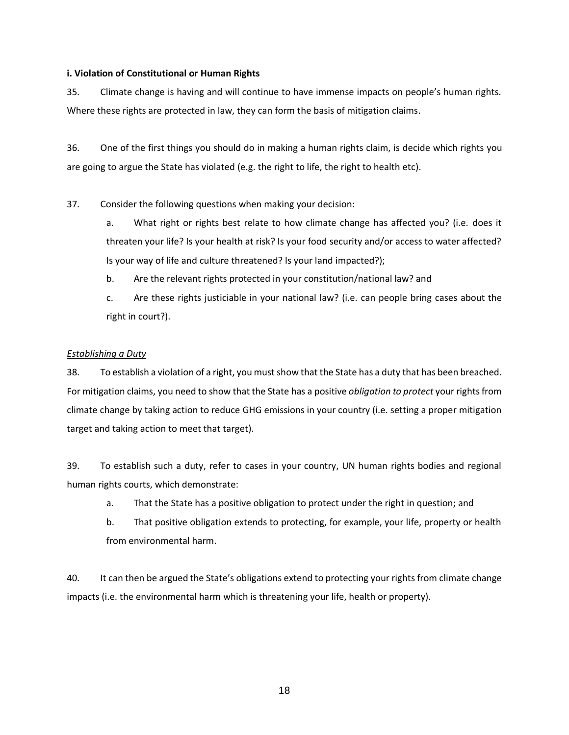### <span id="page-17-0"></span>**i. Violation of Constitutional or Human Rights**

35. Climate change is having and will continue to have immense impacts on people's human rights. Where these rights are protected in law, they can form the basis of mitigation claims.

36. One of the first things you should do in making a human rights claim, is decide which rights you are going to argue the State has violated (e.g. the right to life, the right to health etc).

37. Consider the following questions when making your decision:

a. What right or rights best relate to how climate change has affected you? (i.e. does it threaten your life? Is your health at risk? Is your food security and/or access to water affected? Is your way of life and culture threatened? Is your land impacted?);

- b. Are the relevant rights protected in your constitution/national law? and
- c. Are these rights justiciable in your national law? (i.e. can people bring cases about the right in court?).

# *Establishing a Duty*

38. To establish a violation of a right, you must show that the State has a duty that has been breached. For mitigation claims, you need to show that the State has a positive *obligation to protect* your rightsfrom climate change by taking action to reduce GHG emissions in your country (i.e. setting a proper mitigation target and taking action to meet that target).

39. To establish such a duty, refer to cases in your country, UN human rights bodies and regional human rights courts, which demonstrate:

- a. That the State has a positive obligation to protect under the right in question; and
- b. That positive obligation extends to protecting, for example, your life, property or health from environmental harm.

40. It can then be argued the State's obligations extend to protecting your rights from climate change impacts (i.e. the environmental harm which is threatening your life, health or property).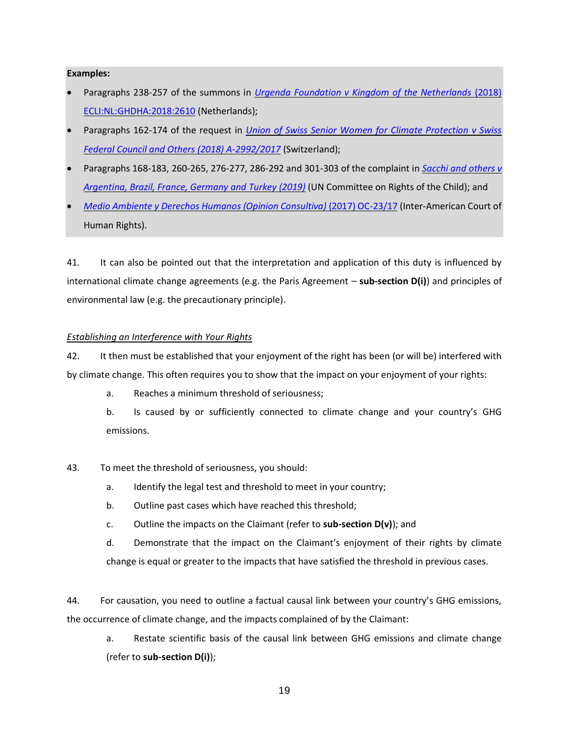#### **Examples:**

- Paragraphs 238-257 of the summons in *[Urgenda Foundation v Kingdom of the Netherlands](https://www.urgenda.nl/documents/FINAL-DRAFT-Translation-Summons-in-case-Urgenda-v-Dutch-State-v.25.06.10.pdf)* (2018) [ECLI:NL:GHDHA:2018:2610](https://www.urgenda.nl/documents/FINAL-DRAFT-Translation-Summons-in-case-Urgenda-v-Dutch-State-v.25.06.10.pdf) (Netherlands);
- Paragraphs 162-174 of the request in *[Union of Swiss Senior Women for Climate Protection v Swiss](https://klimaseniorinnen.ch/wp-content/uploads/2017/05/request_KlimaSeniorinnen.pdf)  [Federal Council and Others \(2018\) A-2992/2017](https://klimaseniorinnen.ch/wp-content/uploads/2017/05/request_KlimaSeniorinnen.pdf)* (Switzerland);
- Paragraphs 168-183, 260-265, 276-277, 286-292 and 301-303 of the complaint in *[Sacchi and others v](https://childrenvsclimatecrisis.org/wp-content/uploads/2019/09/2019.09.23-CRC-communication-Sacchi-et-al-v.-Argentina-et-al-2.pdf)  [Argentina, Brazil, France, Germany and Turkey \(2019\)](https://childrenvsclimatecrisis.org/wp-content/uploads/2019/09/2019.09.23-CRC-communication-Sacchi-et-al-v.-Argentina-et-al-2.pdf)* (UN Committee on Rights of the Child); and
- *[Medio Ambiente y Derechos Humanos \(Opinion Consultiva\)](https://www.escr-net.org/caselaw/2019/advisory-opinion-oc-2317)* (2017) OC-23/17 (Inter-American Court of Human Rights).

41. It can also be pointed out that the interpretation and application of this duty is influenced by international climate change agreements (e.g. the Paris Agreement – **sub-section D(i)**) and principles of environmental law (e.g. the precautionary principle).

#### *Establishing an Interference with Your Rights*

42. It then must be established that your enjoyment of the right has been (or will be) interfered with by climate change. This often requires you to show that the impact on your enjoyment of your rights:

- a. Reaches a minimum threshold of seriousness;
- b. Is caused by or sufficiently connected to climate change and your country's GHG emissions.
- 43. To meet the threshold of seriousness, you should:
	- a. Identify the legal test and threshold to meet in your country;
	- b. Outline past cases which have reached this threshold;
	- c. Outline the impacts on the Claimant (refer to **sub-section D(v)**); and
	- d. Demonstrate that the impact on the Claimant's enjoyment of their rights by climate change is equal or greater to the impacts that have satisfied the threshold in previous cases.

44. For causation, you need to outline a factual causal link between your country's GHG emissions, the occurrence of climate change, and the impacts complained of by the Claimant:

a. Restate scientific basis of the causal link between GHG emissions and climate change (refer to **sub-section D(i)**);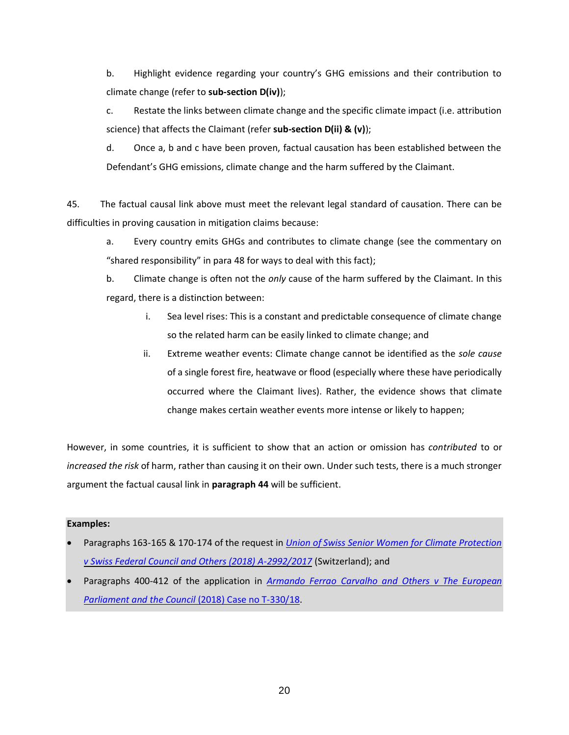b. Highlight evidence regarding your country's GHG emissions and their contribution to climate change (refer to **sub-section D(iv)**);

c. Restate the links between climate change and the specific climate impact (i.e. attribution science) that affects the Claimant (refer **sub-section D(ii) & (v)**);

d. Once a, b and c have been proven, factual causation has been established between the Defendant's GHG emissions, climate change and the harm suffered by the Claimant.

45. The factual causal link above must meet the relevant legal standard of causation. There can be difficulties in proving causation in mitigation claims because:

a. Every country emits GHGs and contributes to climate change (see the commentary on "shared responsibility" in para 48 for ways to deal with this fact);

b. Climate change is often not the *only* cause of the harm suffered by the Claimant. In this regard, there is a distinction between:

- i. Sea level rises: This is a constant and predictable consequence of climate change so the related harm can be easily linked to climate change; and
- ii. Extreme weather events: Climate change cannot be identified as the *sole cause*  of a single forest fire, heatwave or flood (especially where these have periodically occurred where the Claimant lives). Rather, the evidence shows that climate change makes certain weather events more intense or likely to happen;

However, in some countries, it is sufficient to show that an action or omission has *contributed* to or *increased the risk* of harm, rather than causing it on their own. Under such tests, there is a much stronger argument the factual causal link in **paragraph 44** will be sufficient.

- Paragraphs 163-165 & 170-174 of the request in *[Union of Swiss Senior Women for Climate Protection](https://klimaseniorinnen.ch/wp-content/uploads/2017/05/request_KlimaSeniorinnen.pdf)  [v Swiss Federal Council and Others \(2018\) A-2992/2017](https://klimaseniorinnen.ch/wp-content/uploads/2017/05/request_KlimaSeniorinnen.pdf)* (Switzerland); and
- Paragraphs 400-412 of the application in *[Armando Ferrao Carvalho and Others v The European](http://blogs2.law.columbia.edu/climate-change-litigation/wp-content/uploads/sites/16/non-us-case-documents/2018/20180524_Case-no.-T-33018_application-1.pdf)  [Parliament and the Council](http://blogs2.law.columbia.edu/climate-change-litigation/wp-content/uploads/sites/16/non-us-case-documents/2018/20180524_Case-no.-T-33018_application-1.pdf)* (2018) Case no T-330/18.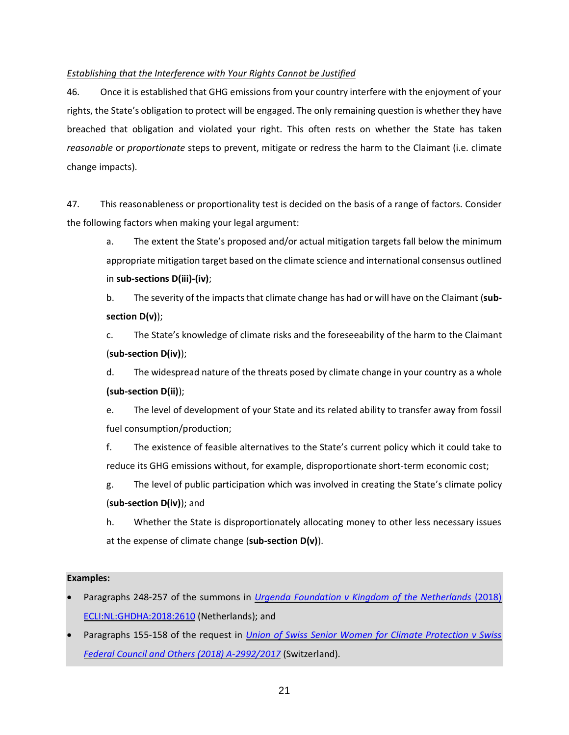# *Establishing that the Interference with Your Rights Cannot be Justified*

46. Once it is established that GHG emissions from your country interfere with the enjoyment of your rights, the State's obligation to protect will be engaged. The only remaining question is whether they have breached that obligation and violated your right. This often rests on whether the State has taken *reasonable* or *proportionate* steps to prevent, mitigate or redress the harm to the Claimant (i.e. climate change impacts).

47. This reasonableness or proportionality test is decided on the basis of a range of factors. Consider the following factors when making your legal argument:

a. The extent the State's proposed and/or actual mitigation targets fall below the minimum appropriate mitigation target based on the climate science and international consensus outlined in **sub-sections D(iii)-(iv)**;

b. The severity of the impacts that climate change has had or will have on the Claimant (**subsection D(v)**);

c. The State's knowledge of climate risks and the foreseeability of the harm to the Claimant (**sub-section D(iv)**);

d. The widespread nature of the threats posed by climate change in your country as a whole **(sub-section D(ii)**);

e. The level of development of your State and its related ability to transfer away from fossil fuel consumption/production;

f. The existence of feasible alternatives to the State's current policy which it could take to reduce its GHG emissions without, for example, disproportionate short-term economic cost;

g. The level of public participation which was involved in creating the State's climate policy (**sub-section D(iv)**); and

h. Whether the State is disproportionately allocating money to other less necessary issues at the expense of climate change (**sub-section D(v)**).

- Paragraphs 248-257 of the summons in *[Urgenda Foundation v Kingdom of the Netherlands](https://www.urgenda.nl/documents/FINAL-DRAFT-Translation-Summons-in-case-Urgenda-v-Dutch-State-v.25.06.10.pdf)* (2018) [ECLI:NL:GHDHA:2018:2610](https://www.urgenda.nl/documents/FINAL-DRAFT-Translation-Summons-in-case-Urgenda-v-Dutch-State-v.25.06.10.pdf) (Netherlands); and
- Paragraphs 155-158 of the request in *[Union of Swiss Senior Women for Climate Protection v Swiss](https://klimaseniorinnen.ch/wp-content/uploads/2017/05/request_KlimaSeniorinnen.pdf)  [Federal Council and Others \(2018\) A-2992/2017](https://klimaseniorinnen.ch/wp-content/uploads/2017/05/request_KlimaSeniorinnen.pdf)* (Switzerland).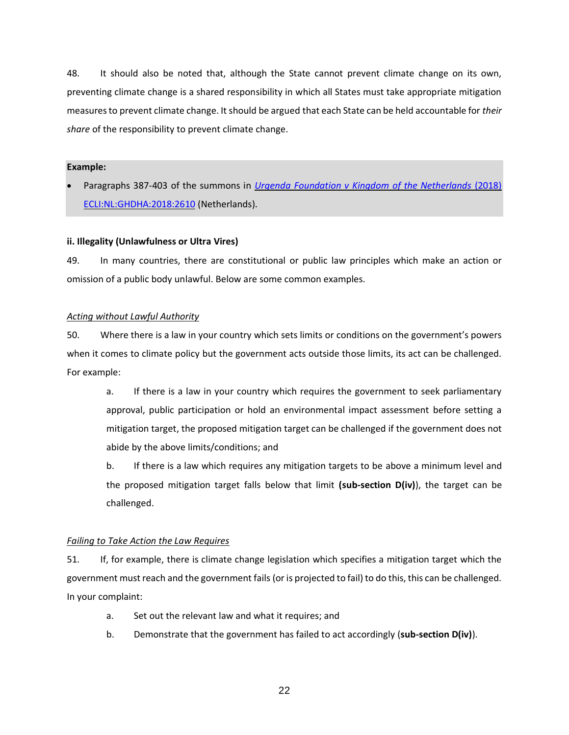48. It should also be noted that, although the State cannot prevent climate change on its own, preventing climate change is a shared responsibility in which all States must take appropriate mitigation measures to prevent climate change. It should be argued that each State can be held accountable for *their share* of the responsibility to prevent climate change.

#### **Example:**

• Paragraphs 387-403 of the summons in *[Urgenda Foundation v Kingdom of the Netherlands](https://www.urgenda.nl/documents/FINAL-DRAFT-Translation-Summons-in-case-Urgenda-v-Dutch-State-v.25.06.10.pdf)* (2018) [ECLI:NL:GHDHA:2018:2610](https://www.urgenda.nl/documents/FINAL-DRAFT-Translation-Summons-in-case-Urgenda-v-Dutch-State-v.25.06.10.pdf) (Netherlands).

# <span id="page-21-0"></span>**ii. Illegality (Unlawfulness or Ultra Vires)**

49. In many countries, there are constitutional or public law principles which make an action or omission of a public body unlawful. Below are some common examples.

# *Acting without Lawful Authority*

50. Where there is a law in your country which sets limits or conditions on the government's powers when it comes to climate policy but the government acts outside those limits, its act can be challenged. For example:

a. If there is a law in your country which requires the government to seek parliamentary approval, public participation or hold an environmental impact assessment before setting a mitigation target, the proposed mitigation target can be challenged if the government does not abide by the above limits/conditions; and

b. If there is a law which requires any mitigation targets to be above a minimum level and the proposed mitigation target falls below that limit **(sub-section D(iv)**), the target can be challenged.

# *Failing to Take Action the Law Requires*

51. If, for example, there is climate change legislation which specifies a mitigation target which the government must reach and the government fails (or is projected to fail) to do this, this can be challenged. In your complaint:

- a. Set out the relevant law and what it requires; and
- b. Demonstrate that the government has failed to act accordingly (**sub-section D(iv)**).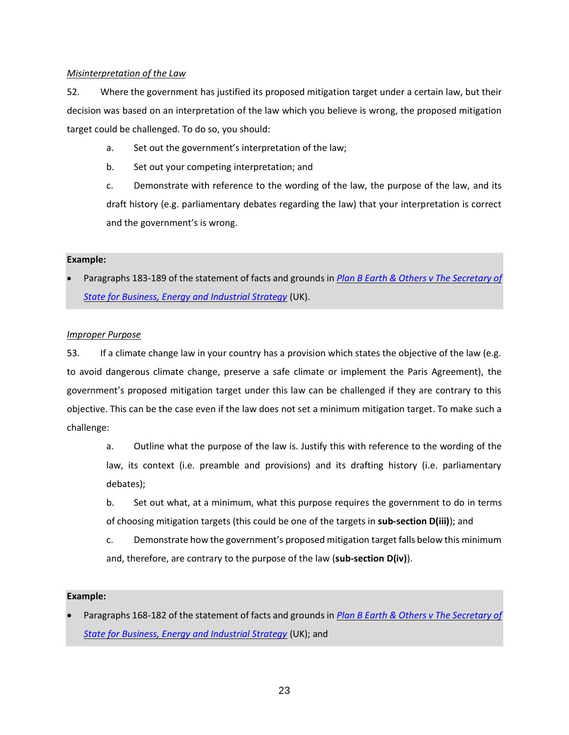### *Misinterpretation of the Law*

52. Where the government has justified its proposed mitigation target under a certain law, but their decision was based on an interpretation of the law which you believe is wrong, the proposed mitigation target could be challenged. To do so, you should:

- a. Set out the government's interpretation of the law;
- b. Set out your competing interpretation; and

c. Demonstrate with reference to the wording of the law, the purpose of the law, and its draft history (e.g. parliamentary debates regarding the law) that your interpretation is correct and the government's is wrong.

### **Example:**

• Paragraphs 183-189 of the statement of facts and grounds in *[Plan B Earth & Others v The Secretary of](http://blogs2.law.columbia.edu/climate-change-litigation/wp-content/uploads/sites/16/non-us-case-documents/2017/20171207_Claim-No.-CO162018_points-of-claim.pdf)  [State for Business, Energy and Industrial Strategy](http://blogs2.law.columbia.edu/climate-change-litigation/wp-content/uploads/sites/16/non-us-case-documents/2017/20171207_Claim-No.-CO162018_points-of-claim.pdf)* (UK).

### *Improper Purpose*

53. If a climate change law in your country has a provision which states the objective of the law (e.g. to avoid dangerous climate change, preserve a safe climate or implement the Paris Agreement), the government's proposed mitigation target under this law can be challenged if they are contrary to this objective. This can be the case even if the law does not set a minimum mitigation target. To make such a challenge:

a. Outline what the purpose of the law is. Justify this with reference to the wording of the law, its context (i.e. preamble and provisions) and its drafting history (i.e. parliamentary debates);

- b. Set out what, at a minimum, what this purpose requires the government to do in terms of choosing mitigation targets (this could be one of the targets in **sub-section D(iii)**); and
- c. Demonstrate how the government's proposed mitigation target falls below this minimum and, therefore, are contrary to the purpose of the law (**sub-section D(iv)**).

#### **Example:**

• Paragraphs 168-182 of the statement of facts and grounds in *[Plan B Earth & Others v The Secretary of](http://blogs2.law.columbia.edu/climate-change-litigation/wp-content/uploads/sites/16/non-us-case-documents/2017/20171207_Claim-No.-CO162018_points-of-claim.pdf)  [State for Business, Energy and Industrial Strategy](http://blogs2.law.columbia.edu/climate-change-litigation/wp-content/uploads/sites/16/non-us-case-documents/2017/20171207_Claim-No.-CO162018_points-of-claim.pdf)* (UK); and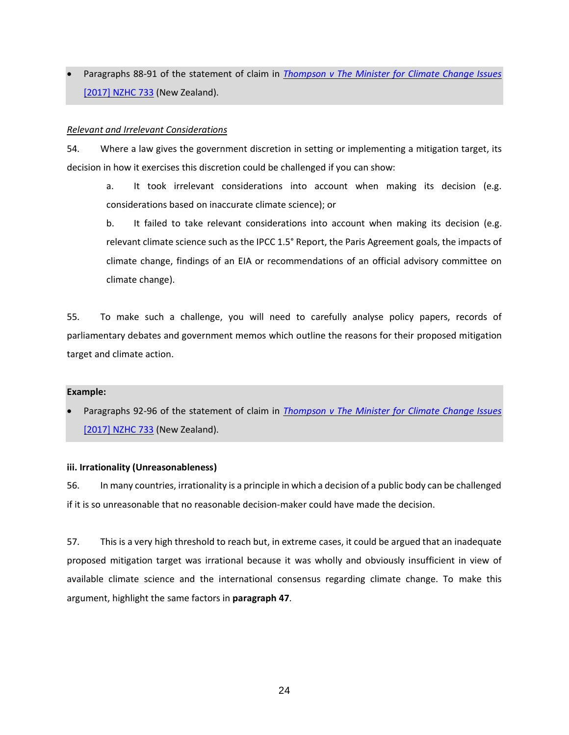• Paragraphs 88-91 of the statement of claim in *[Thompson v The Minister for Climate Change Issues](http://blogs2.law.columbia.edu/climate-change-litigation/wp-content/uploads/sites/16/non-us-case-documents/2015/20151110_2017-NZHC-733_complaint-1.pdf)*  [\[2017\] NZHC 733](http://blogs2.law.columbia.edu/climate-change-litigation/wp-content/uploads/sites/16/non-us-case-documents/2015/20151110_2017-NZHC-733_complaint-1.pdf) (New Zealand).

### *Relevant and Irrelevant Considerations*

54. Where a law gives the government discretion in setting or implementing a mitigation target, its decision in how it exercises this discretion could be challenged if you can show:

a. It took irrelevant considerations into account when making its decision (e.g. considerations based on inaccurate climate science); or

b. It failed to take relevant considerations into account when making its decision (e.g. relevant climate science such as the IPCC 1.5° Report, the Paris Agreement goals, the impacts of climate change, findings of an EIA or recommendations of an official advisory committee on climate change).

55. To make such a challenge, you will need to carefully analyse policy papers, records of parliamentary debates and government memos which outline the reasons for their proposed mitigation target and climate action.

#### **Example:**

• Paragraphs 92-96 of the statement of claim in *[Thompson v The Minister for Climate Change Issues](http://blogs2.law.columbia.edu/climate-change-litigation/wp-content/uploads/sites/16/non-us-case-documents/2015/20151110_2017-NZHC-733_complaint-1.pdf)*  [\[2017\] NZHC 733](http://blogs2.law.columbia.edu/climate-change-litigation/wp-content/uploads/sites/16/non-us-case-documents/2015/20151110_2017-NZHC-733_complaint-1.pdf) (New Zealand).

#### <span id="page-23-0"></span>**iii. Irrationality (Unreasonableness)**

56. In many countries, irrationality is a principle in which a decision of a public body can be challenged if it is so unreasonable that no reasonable decision-maker could have made the decision.

57. This is a very high threshold to reach but, in extreme cases, it could be argued that an inadequate proposed mitigation target was irrational because it was wholly and obviously insufficient in view of available climate science and the international consensus regarding climate change. To make this argument, highlight the same factors in **paragraph 47**.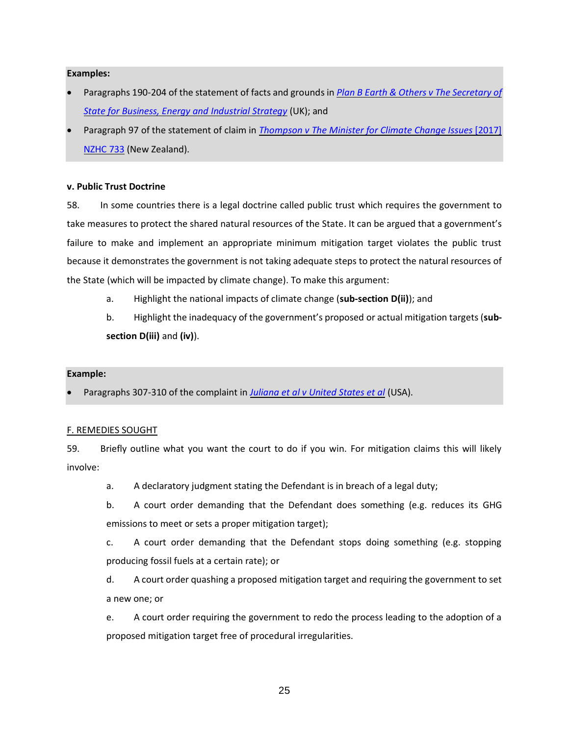#### **Examples:**

- Paragraphs 190-204 of the statement of facts and grounds in *[Plan B Earth & Others v The Secretary of](http://blogs2.law.columbia.edu/climate-change-litigation/wp-content/uploads/sites/16/non-us-case-documents/2017/20171207_Claim-No.-CO162018_points-of-claim.pdf)  [State for Business, Energy and Industrial Strategy](http://blogs2.law.columbia.edu/climate-change-litigation/wp-content/uploads/sites/16/non-us-case-documents/2017/20171207_Claim-No.-CO162018_points-of-claim.pdf)* (UK); and
- Paragraph 97 of the statement of claim in *[Thompson v The Minister for Climate Change Issues](http://blogs2.law.columbia.edu/climate-change-litigation/wp-content/uploads/sites/16/non-us-case-documents/2015/20151110_2017-NZHC-733_complaint-1.pdf)* [2017] [NZHC 733](http://blogs2.law.columbia.edu/climate-change-litigation/wp-content/uploads/sites/16/non-us-case-documents/2015/20151110_2017-NZHC-733_complaint-1.pdf) (New Zealand).

#### <span id="page-24-0"></span>**v. Public Trust Doctrine**

58. In some countries there is a legal doctrine called public trust which requires the government to take measures to protect the shared natural resources of the State. It can be argued that a government's failure to make and implement an appropriate minimum mitigation target violates the public trust because it demonstrates the government is not taking adequate steps to protect the natural resources of the State (which will be impacted by climate change). To make this argument:

- a. Highlight the national impacts of climate change (**sub-section D(ii)**); and
- b. Highlight the inadequacy of the government's proposed or actual mitigation targets (**subsection D(iii)** and **(iv)**).

#### **Example:**

• Paragraphs 307-310 of the complaint in *[Juliana et al v United States et al](https://static1.squarespace.com/static/571d109b04426270152febe0/t/57a35ac5ebbd1ac03847eece/1470323398409/YouthAmendedComplaintAgainstUS.pdf)* (USA).

#### <span id="page-24-1"></span>F. REMEDIES SOUGHT

59. Briefly outline what you want the court to do if you win. For mitigation claims this will likely involve:

- a. A declaratory judgment stating the Defendant is in breach of a legal duty;
- b. A court order demanding that the Defendant does something (e.g. reduces its GHG emissions to meet or sets a proper mitigation target);

c. A court order demanding that the Defendant stops doing something (e.g. stopping producing fossil fuels at a certain rate); or

d. A court order quashing a proposed mitigation target and requiring the government to set a new one; or

e. A court order requiring the government to redo the process leading to the adoption of a proposed mitigation target free of procedural irregularities.